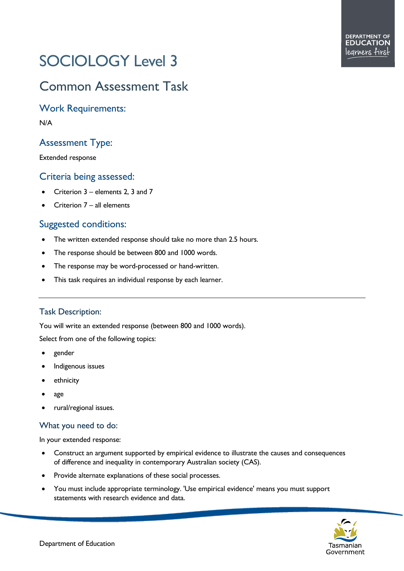# SOCIOLOGY Level 3

# Common Assessment Task

Work Requirements:

N/A

## Assessment Type:

Extended response

#### Criteria being assessed:

- Criterion 3 elements 2, 3 and 7
- Criterion  $7 -$  all elements

### Suggested conditions:

- The written extended response should take no more than 2.5 hours.
- The response should be between 800 and 1000 words.
- The response may be word-processed or hand-written.
- This task requires an individual response by each learner.

#### Task Description:

You will write an extended response (between 800 and 1000 words).

Select from one of the following topics:

- gender
- Indigenous issues
- ethnicity
- age
- rural/regional issues.

#### What you need to do:

In your extended response:

- Construct an argument supported by empirical evidence to illustrate the causes and consequences of difference and inequality in contemporary Australian society (CAS).
- Provide alternate explanations of these social processes.
- You must include appropriate terminology. 'Use empirical evidence' means you must support statements with research evidence and data.